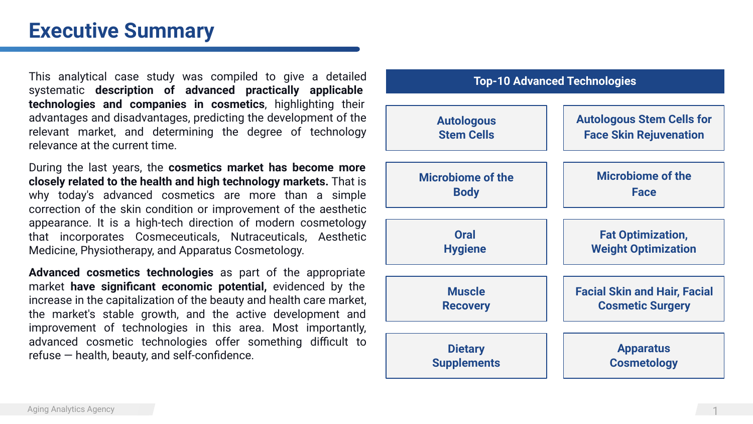### **Executive Summary**

This analytical сase study was compiled to give a detailed systematic **description of advanced practically applicable technologies and companies in cosmetics**, highlighting their advantages and disadvantages, predicting the development of the relevant market, and determining the degree of technology relevance at the current time.

During the last years, the **cosmetics market has become more closely related to the health and high technology markets.** That is why today's advanced cosmetics are more than a simple correction of the skin condition or improvement of the aesthetic appearance. It is a high-tech direction of modern cosmetology that incorporates Cosmeceuticals, Nutraceuticals, Aesthetic Medicine, Physiotherapy, and Apparatus Cosmetology.

**Advanced cosmetics technologies** as part of the appropriate market **have significant economic potential,** evidenced by the increase in the capitalization of the beauty and health care market, the market's stable growth, and the active development and improvement of technologies in this area. Most importantly, advanced cosmetic technologies offer something difficult to refuse — health, beauty, and self-confidence.

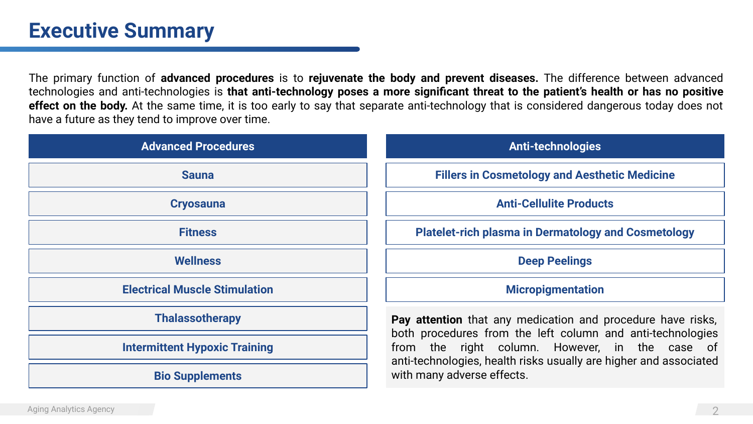## **Executive Summary**

The primary function of **advanced procedures** is to **rejuvenate the body and prevent diseases.** The difference between advanced technologies and anti-technologies is **that anti-technology poses a more significant threat to the patient's health or has no positive effect on the body.** At the same time, it is too early to say that separate anti-technology that is considered dangerous today does not have a future as they tend to improve over time.

| <b>Advanced Procedures</b>           | <b>Anti-technologies</b>                                                                                                                                                                                                                                                       |
|--------------------------------------|--------------------------------------------------------------------------------------------------------------------------------------------------------------------------------------------------------------------------------------------------------------------------------|
| <b>Sauna</b>                         | <b>Fillers in Cosmetology and Aesthetic Medicine</b>                                                                                                                                                                                                                           |
| <b>Cryosauna</b>                     | <b>Anti-Cellulite Products</b>                                                                                                                                                                                                                                                 |
| <b>Fitness</b>                       | <b>Platelet-rich plasma in Dermatology and Cosmetology</b>                                                                                                                                                                                                                     |
| <b>Wellness</b>                      | <b>Deep Peelings</b>                                                                                                                                                                                                                                                           |
| <b>Electrical Muscle Stimulation</b> | <b>Micropigmentation</b>                                                                                                                                                                                                                                                       |
| <b>Thalassotherapy</b>               | Pay attention that any medication and procedure have risks,<br>both procedures from the left column and anti-technologies<br>from the right column. However, in the case of<br>anti-technologies, health risks usually are higher and associated<br>with many adverse effects. |
| <b>Intermittent Hypoxic Training</b> |                                                                                                                                                                                                                                                                                |
| <b>Bio Supplements</b>               |                                                                                                                                                                                                                                                                                |